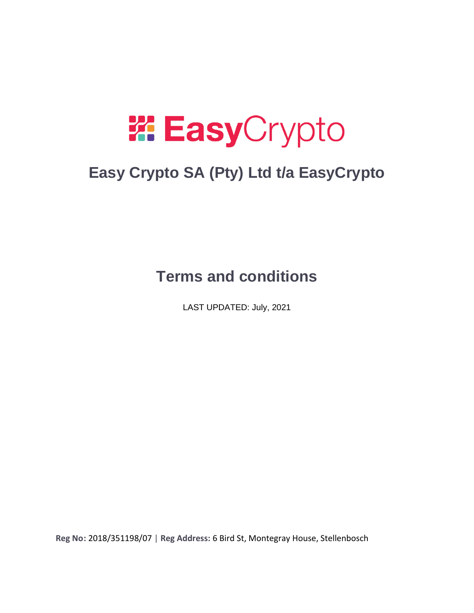# **W. Easy**Crypto

# **Easy Crypto SA (Pty) Ltd t/a EasyCrypto**

## **Terms and conditions**

LAST UPDATED: July, 2021

**Reg No:** 2018/351198/07 | **Reg Address:** 6 Bird St, Montegray House, Stellenbosch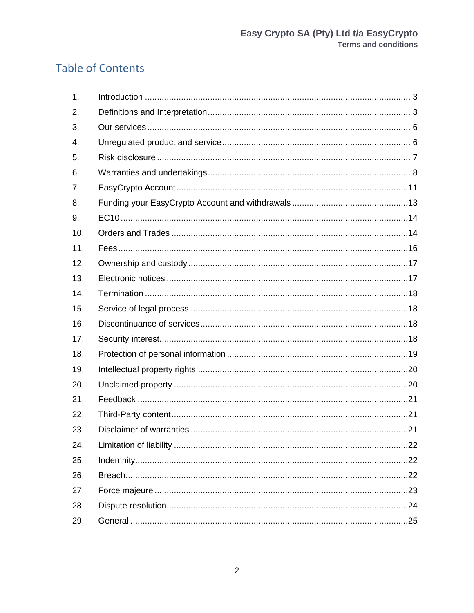## **Table of Contents**

<span id="page-1-0"></span>

| 1.  |  |
|-----|--|
| 2.  |  |
| 3.  |  |
| 4.  |  |
| 5.  |  |
| 6.  |  |
| 7.  |  |
| 8.  |  |
| 9.  |  |
| 10. |  |
| 11. |  |
| 12. |  |
| 13. |  |
| 14. |  |
| 15. |  |
| 16. |  |
| 17. |  |
| 18. |  |
| 19. |  |
| 20. |  |
| 21. |  |
| 22. |  |
| 23. |  |
| 24. |  |
| 25. |  |
| 26. |  |
| 27. |  |
| 28. |  |
| 29. |  |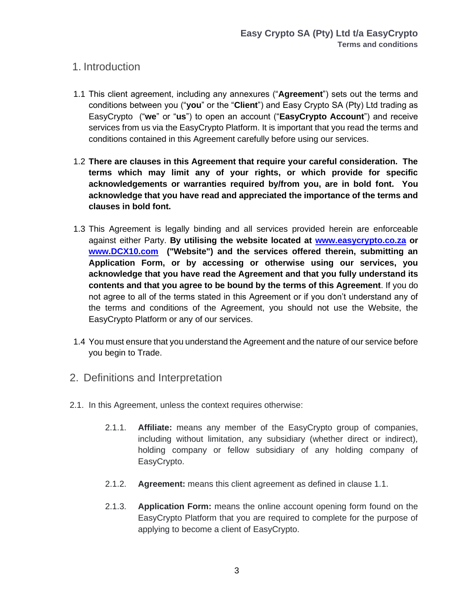#### 1. Introduction

- 1.1 This client agreement, including any annexures ("**Agreement**") sets out the terms and conditions between you ("**you**" or the "**Client**") and Easy Crypto SA (Pty) Ltd trading as EasyCrypto ("**we**" or "**us**") to open an account ("**EasyCrypto Account**") and receive services from us via the EasyCrypto Platform. It is important that you read the terms and conditions contained in this Agreement carefully before using our services.
- 1.2 **There are clauses in this Agreement that require your careful consideration. The terms which may limit any of your rights, or which provide for specific acknowledgements or warranties required by/from you, are in bold font. You acknowledge that you have read and appreciated the importance of the terms and clauses in bold font.**
- 1.3 This Agreement is legally binding and all services provided herein are enforceable against either Party. **By utilising the website located at [www.easycrypto.co.za](http://www.easycrypto.co.za/) or [www.DCX10.com](http://www.dcx10.com/) ("Website") and the services offered therein, submitting an Application Form, or by accessing or otherwise using our services, you acknowledge that you have read the Agreement and that you fully understand its contents and that you agree to be bound by the terms of this Agreement**. If you do not agree to all of the terms stated in this Agreement or if you don't understand any of the terms and conditions of the Agreement, you should not use the Website, the EasyCrypto Platform or any of our services.
- 1.4 You must ensure that you understand the Agreement and the nature of our service before you begin to Trade.
- <span id="page-2-0"></span>2. Definitions and Interpretation
- 2.1. In this Agreement, unless the context requires otherwise:
	- 2.1.1. **Affiliate:** means any member of the EasyCrypto group of companies, including without limitation, any subsidiary (whether direct or indirect), holding company or fellow subsidiary of any holding company of EasyCrypto.
	- 2.1.2. **Agreement:** means this client agreement as defined in clause 1.1.
	- 2.1.3. **Application Form:** means the online account opening form found on the EasyCrypto Platform that you are required to complete for the purpose of applying to become a client of EasyCrypto.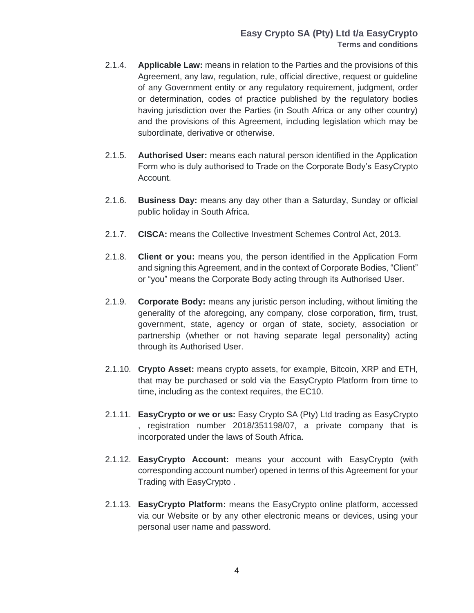- 2.1.4. **Applicable Law:** means in relation to the Parties and the provisions of this Agreement, any law, regulation, rule, official directive, request or guideline of any Government entity or any regulatory requirement, judgment, order or determination, codes of practice published by the regulatory bodies having jurisdiction over the Parties (in South Africa or any other country) and the provisions of this Agreement, including legislation which may be subordinate, derivative or otherwise.
- 2.1.5. **Authorised User:** means each natural person identified in the Application Form who is duly authorised to Trade on the Corporate Body's EasyCrypto Account.
- 2.1.6. **Business Day:** means any day other than a Saturday, Sunday or official public holiday in South Africa.
- 2.1.7. **CISCA:** means the Collective Investment Schemes Control Act, 2013.
- 2.1.8. **Client or you:** means you, the person identified in the Application Form and signing this Agreement, and in the context of Corporate Bodies, "Client" or "you" means the Corporate Body acting through its Authorised User.
- 2.1.9. **Corporate Body:** means any juristic person including, without limiting the generality of the aforegoing, any company, close corporation, firm, trust, government, state, agency or organ of state, society, association or partnership (whether or not having separate legal personality) acting through its Authorised User.
- 2.1.10. **Crypto Asset:** means crypto assets, for example, Bitcoin, XRP and ETH, that may be purchased or sold via the EasyCrypto Platform from time to time, including as the context requires, the EC10.
- 2.1.11. **EasyCrypto or we or us:** Easy Crypto SA (Pty) Ltd trading as EasyCrypto , registration number 2018/351198/07, a private company that is incorporated under the laws of South Africa.
- 2.1.12. **EasyCrypto Account:** means your account with EasyCrypto (with corresponding account number) opened in terms of this Agreement for your Trading with EasyCrypto .
- 2.1.13. **EasyCrypto Platform:** means the EasyCrypto online platform, accessed via our Website or by any other electronic means or devices, using your personal user name and password.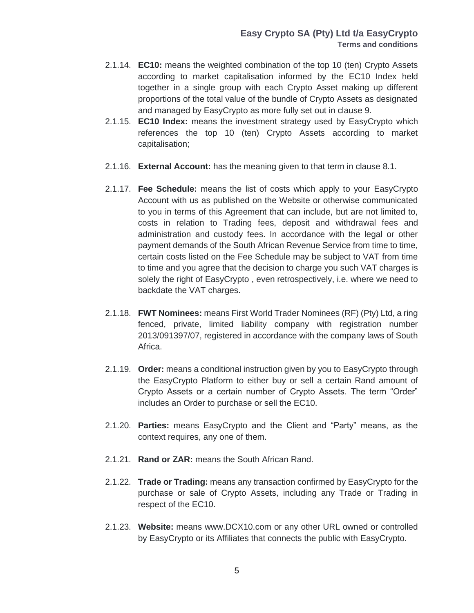- 2.1.14. **EC10:** means the weighted combination of the top 10 (ten) Crypto Assets according to market capitalisation informed by the EC10 Index held together in a single group with each Crypto Asset making up different proportions of the total value of the bundle of Crypto Assets as designated and managed by EasyCrypto as more fully set out in clause 9.
- 2.1.15. **EC10 Index:** means the investment strategy used by EasyCrypto which references the top 10 (ten) Crypto Assets according to market capitalisation;
- 2.1.16. **External Account:** has the meaning given to that term in clause 8.1.
- 2.1.17. **Fee Schedule:** means the list of costs which apply to your EasyCrypto Account with us as published on the Website or otherwise communicated to you in terms of this Agreement that can include, but are not limited to, costs in relation to Trading fees, deposit and withdrawal fees and administration and custody fees. In accordance with the legal or other payment demands of the South African Revenue Service from time to time, certain costs listed on the Fee Schedule may be subject to VAT from time to time and you agree that the decision to charge you such VAT charges is solely the right of EasyCrypto , even retrospectively, i.e. where we need to backdate the VAT charges.
- 2.1.18. **FWT Nominees:** means First World Trader Nominees (RF) (Pty) Ltd, a ring fenced, private, limited liability company with registration number 2013/091397/07, registered in accordance with the company laws of South Africa.
- 2.1.19. **Order:** means a conditional instruction given by you to EasyCrypto through the EasyCrypto Platform to either buy or sell a certain Rand amount of Crypto Assets or a certain number of Crypto Assets. The term "Order" includes an Order to purchase or sell the EC10.
- 2.1.20. **Parties:** means EasyCrypto and the Client and "Party" means, as the context requires, any one of them.
- 2.1.21. **Rand or ZAR:** means the South African Rand.
- 2.1.22. **Trade or Trading:** means any transaction confirmed by EasyCrypto for the purchase or sale of Crypto Assets, including any Trade or Trading in respect of the EC10.
- 2.1.23. **Website:** means [www.DCX10.com](http://www.dcx10.com/) or any other URL owned or controlled by EasyCrypto or its Affiliates that connects the public with EasyCrypto.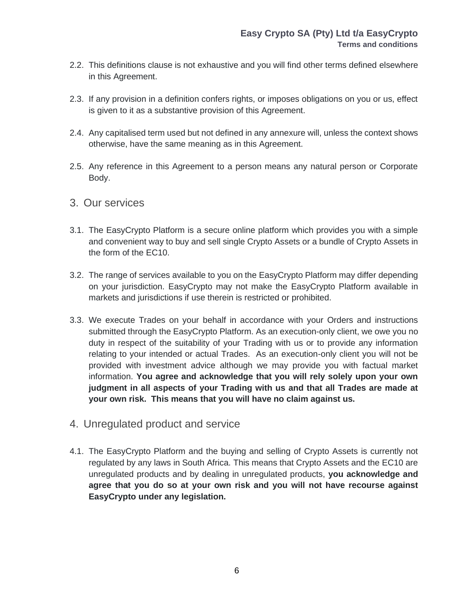- 2.2. This definitions clause is not exhaustive and you will find other terms defined elsewhere in this Agreement.
- 2.3. If any provision in a definition confers rights, or imposes obligations on you or us, effect is given to it as a substantive provision of this Agreement.
- 2.4. Any capitalised term used but not defined in any annexure will, unless the context shows otherwise, have the same meaning as in this Agreement.
- 2.5. Any reference in this Agreement to a person means any natural person or Corporate Body.
- <span id="page-5-0"></span>3. Our services
- 3.1. The EasyCrypto Platform is a secure online platform which provides you with a simple and convenient way to buy and sell single Crypto Assets or a bundle of Crypto Assets in the form of the EC10.
- 3.2. The range of services available to you on the EasyCrypto Platform may differ depending on your jurisdiction. EasyCrypto may not make the EasyCrypto Platform available in markets and jurisdictions if use therein is restricted or prohibited.
- 3.3. We execute Trades on your behalf in accordance with your Orders and instructions submitted through the EasyCrypto Platform. As an execution-only client, we owe you no duty in respect of the suitability of your Trading with us or to provide any information relating to your intended or actual Trades. As an execution-only client you will not be provided with investment advice although we may provide you with factual market information. **You agree and acknowledge that you will rely solely upon your own judgment in all aspects of your Trading with us and that all Trades are made at your own risk. This means that you will have no claim against us.**
- <span id="page-5-1"></span>4. Unregulated product and service
- 4.1. The EasyCrypto Platform and the buying and selling of Crypto Assets is currently not regulated by any laws in South Africa. This means that Crypto Assets and the EC10 are unregulated products and by dealing in unregulated products, **you acknowledge and agree that you do so at your own risk and you will not have recourse against EasyCrypto under any legislation.**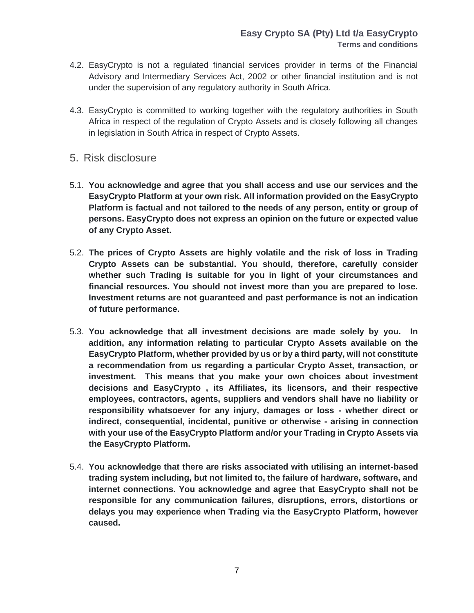- 4.2. EasyCrypto is not a regulated financial services provider in terms of the Financial Advisory and Intermediary Services Act, 2002 or other financial institution and is not under the supervision of any regulatory authority in South Africa.
- 4.3. EasyCrypto is committed to working together with the regulatory authorities in South Africa in respect of the regulation of Crypto Assets and is closely following all changes in legislation in South Africa in respect of Crypto Assets.
- <span id="page-6-0"></span>5. Risk disclosure
- 5.1. **You acknowledge and agree that you shall access and use our services and the EasyCrypto Platform at your own risk. All information provided on the EasyCrypto Platform is factual and not tailored to the needs of any person, entity or group of persons. EasyCrypto does not express an opinion on the future or expected value of any Crypto Asset.**
- 5.2. **The prices of Crypto Assets are highly volatile and the risk of loss in Trading Crypto Assets can be substantial. You should, therefore, carefully consider whether such Trading is suitable for you in light of your circumstances and financial resources. You should not invest more than you are prepared to lose. Investment returns are not guaranteed and past performance is not an indication of future performance.**
- 5.3. **You acknowledge that all investment decisions are made solely by you. In addition, any information relating to particular Crypto Assets available on the EasyCrypto Platform, whether provided by us or by a third party, will not constitute a recommendation from us regarding a particular Crypto Asset, transaction, or investment. This means that you make your own choices about investment decisions and EasyCrypto , its Affiliates, its licensors, and their respective employees, contractors, agents, suppliers and vendors shall have no liability or responsibility whatsoever for any injury, damages or loss - whether direct or indirect, consequential, incidental, punitive or otherwise - arising in connection with your use of the EasyCrypto Platform and/or your Trading in Crypto Assets via the EasyCrypto Platform.**
- 5.4. **You acknowledge that there are risks associated with utilising an internet-based trading system including, but not limited to, the failure of hardware, software, and internet connections. You acknowledge and agree that EasyCrypto shall not be responsible for any communication failures, disruptions, errors, distortions or delays you may experience when Trading via the EasyCrypto Platform, however caused.**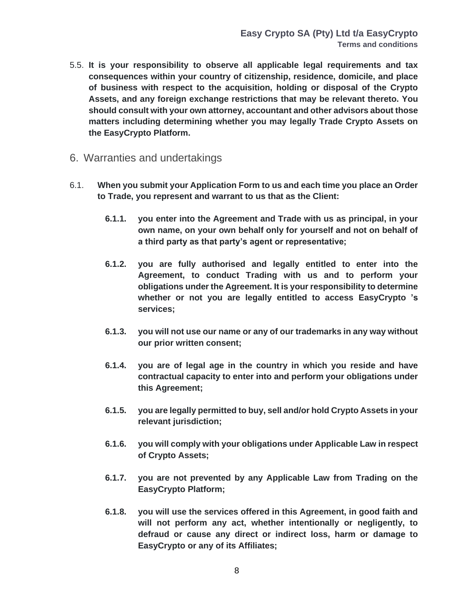- 5.5. **It is your responsibility to observe all applicable legal requirements and tax consequences within your country of citizenship, residence, domicile, and place of business with respect to the acquisition, holding or disposal of the Crypto Assets, and any foreign exchange restrictions that may be relevant thereto. You should consult with your own attorney, accountant and other advisors about those matters including determining whether you may legally Trade Crypto Assets on the EasyCrypto Platform.**
- <span id="page-7-0"></span>6. Warranties and undertakings
- 6.1. **When you submit your Application Form to us and each time you place an Order to Trade, you represent and warrant to us that as the Client:**
	- **6.1.1. you enter into the Agreement and Trade with us as principal, in your own name, on your own behalf only for yourself and not on behalf of a third party as that party's agent or representative;**
	- **6.1.2. you are fully authorised and legally entitled to enter into the Agreement, to conduct Trading with us and to perform your obligations under the Agreement. It is your responsibility to determine whether or not you are legally entitled to access EasyCrypto 's services;**
	- **6.1.3. you will not use our name or any of our trademarks in any way without our prior written consent;**
	- **6.1.4. you are of legal age in the country in which you reside and have contractual capacity to enter into and perform your obligations under this Agreement;**
	- **6.1.5. you are legally permitted to buy, sell and/or hold Crypto Assets in your relevant jurisdiction;**
	- **6.1.6. you will comply with your obligations under Applicable Law in respect of Crypto Assets;**
	- **6.1.7. you are not prevented by any Applicable Law from Trading on the EasyCrypto Platform;**
	- **6.1.8. you will use the services offered in this Agreement, in good faith and will not perform any act, whether intentionally or negligently, to defraud or cause any direct or indirect loss, harm or damage to EasyCrypto or any of its Affiliates;**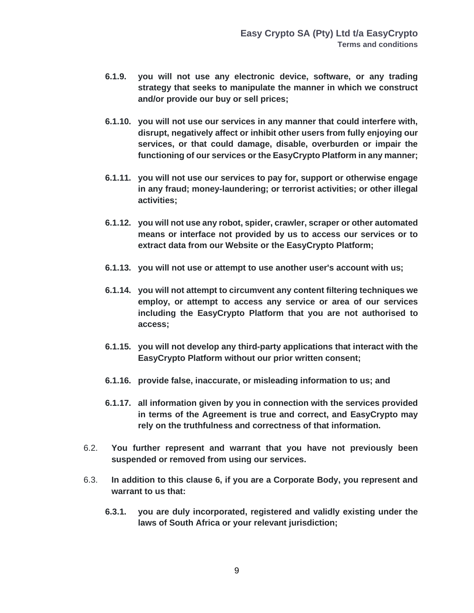- **6.1.9. you will not use any electronic device, software, or any trading strategy that seeks to manipulate the manner in which we construct and/or provide our buy or sell prices;**
- **6.1.10. you will not use our services in any manner that could interfere with, disrupt, negatively affect or inhibit other users from fully enjoying our services, or that could damage, disable, overburden or impair the functioning of our services or the EasyCrypto Platform in any manner;**
- **6.1.11. you will not use our services to pay for, support or otherwise engage in any fraud; money-laundering; or terrorist activities; or other illegal activities;**
- **6.1.12. you will not use any robot, spider, crawler, scraper or other automated means or interface not provided by us to access our services or to extract data from our Website or the EasyCrypto Platform;**
- **6.1.13. you will not use or attempt to use another user's account with us;**
- **6.1.14. you will not attempt to circumvent any content filtering techniques we employ, or attempt to access any service or area of our services including the EasyCrypto Platform that you are not authorised to access;**
- **6.1.15. you will not develop any third-party applications that interact with the EasyCrypto Platform without our prior written consent;**
- **6.1.16. provide false, inaccurate, or misleading information to us; and**
- **6.1.17. all information given by you in connection with the services provided in terms of the Agreement is true and correct, and EasyCrypto may rely on the truthfulness and correctness of that information.**
- 6.2. **You further represent and warrant that you have not previously been suspended or removed from using our services.**
- 6.3. **In addition to this clause 6, if you are a Corporate Body, you represent and warrant to us that:**
	- **6.3.1. you are duly incorporated, registered and validly existing under the laws of South Africa or your relevant jurisdiction;**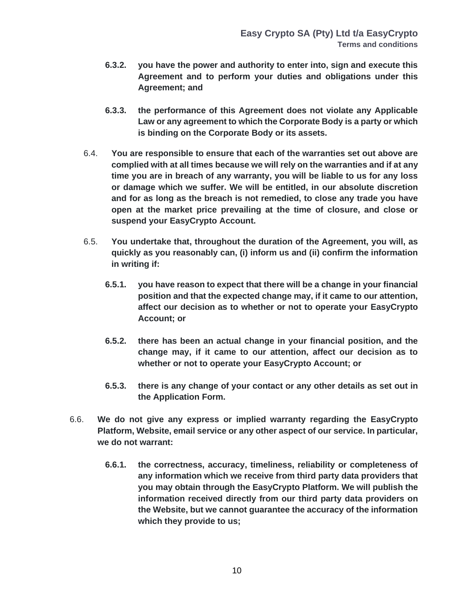- **6.3.2. you have the power and authority to enter into, sign and execute this Agreement and to perform your duties and obligations under this Agreement; and**
- **6.3.3. the performance of this Agreement does not violate any Applicable Law or any agreement to which the Corporate Body is a party or which is binding on the Corporate Body or its assets.**
- 6.4. **You are responsible to ensure that each of the warranties set out above are complied with at all times because we will rely on the warranties and if at any time you are in breach of any warranty, you will be liable to us for any loss or damage which we suffer. We will be entitled, in our absolute discretion and for as long as the breach is not remedied, to close any trade you have open at the market price prevailing at the time of closure, and close or suspend your EasyCrypto Account.**
- 6.5. **You undertake that, throughout the duration of the Agreement, you will, as quickly as you reasonably can, (i) inform us and (ii) confirm the information in writing if:**
	- **6.5.1. you have reason to expect that there will be a change in your financial position and that the expected change may, if it came to our attention, affect our decision as to whether or not to operate your EasyCrypto Account; or**
	- **6.5.2. there has been an actual change in your financial position, and the change may, if it came to our attention, affect our decision as to whether or not to operate your EasyCrypto Account; or**
	- **6.5.3. there is any change of your contact or any other details as set out in the Application Form.**
- 6.6. **We do not give any express or implied warranty regarding the EasyCrypto Platform, Website, email service or any other aspect of our service. In particular, we do not warrant:**
	- **6.6.1. the correctness, accuracy, timeliness, reliability or completeness of any information which we receive from third party data providers that you may obtain through the EasyCrypto Platform. We will publish the information received directly from our third party data providers on the Website, but we cannot guarantee the accuracy of the information which they provide to us;**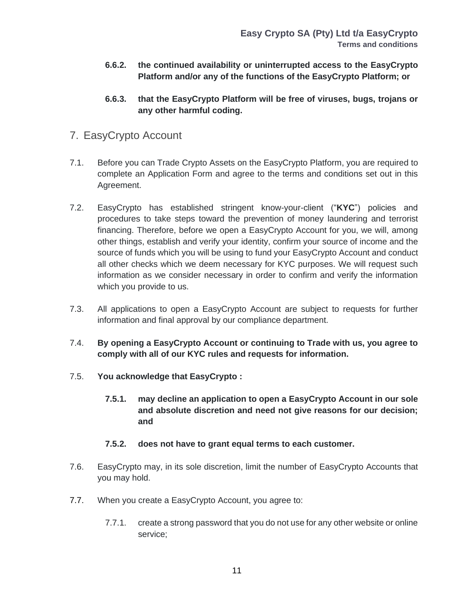- **6.6.2. the continued availability or uninterrupted access to the EasyCrypto Platform and/or any of the functions of the EasyCrypto Platform; or**
- **6.6.3. that the EasyCrypto Platform will be free of viruses, bugs, trojans or any other harmful coding.**
- <span id="page-10-0"></span>7. EasyCrypto Account
- 7.1. Before you can Trade Crypto Assets on the EasyCrypto Platform, you are required to complete an Application Form and agree to the terms and conditions set out in this Agreement.
- 7.2. EasyCrypto has established stringent know-your-client ("**KYC**") policies and procedures to take steps toward the prevention of money laundering and terrorist financing. Therefore, before we open a EasyCrypto Account for you, we will, among other things, establish and verify your identity, confirm your source of income and the source of funds which you will be using to fund your EasyCrypto Account and conduct all other checks which we deem necessary for KYC purposes. We will request such information as we consider necessary in order to confirm and verify the information which you provide to us.
- 7.3. All applications to open a EasyCrypto Account are subject to requests for further information and final approval by our compliance department.
- 7.4. **By opening a EasyCrypto Account or continuing to Trade with us, you agree to comply with all of our KYC rules and requests for information.**
- 7.5. **You acknowledge that EasyCrypto :**
	- **7.5.1. may decline an application to open a EasyCrypto Account in our sole and absolute discretion and need not give reasons for our decision; and**
	- **7.5.2. does not have to grant equal terms to each customer.**
- 7.6. EasyCrypto may, in its sole discretion, limit the number of EasyCrypto Accounts that you may hold.
- 7.7. When you create a EasyCrypto Account, you agree to:
	- 7.7.1. create a strong password that you do not use for any other website or online service;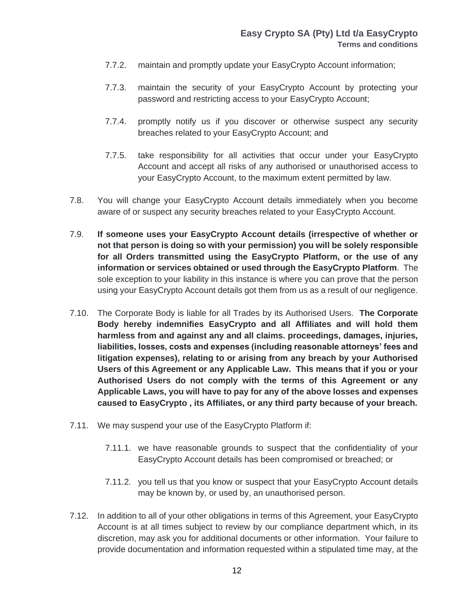- 7.7.2. maintain and promptly update your EasyCrypto Account information;
- 7.7.3. maintain the security of your EasyCrypto Account by protecting your password and restricting access to your EasyCrypto Account;
- 7.7.4. promptly notify us if you discover or otherwise suspect any security breaches related to your EasyCrypto Account; and
- 7.7.5. take responsibility for all activities that occur under your EasyCrypto Account and accept all risks of any authorised or unauthorised access to your EasyCrypto Account, to the maximum extent permitted by law.
- 7.8. You will change your EasyCrypto Account details immediately when you become aware of or suspect any security breaches related to your EasyCrypto Account.
- 7.9. **If someone uses your EasyCrypto Account details (irrespective of whether or not that person is doing so with your permission) you will be solely responsible for all Orders transmitted using the EasyCrypto Platform, or the use of any information or services obtained or used through the EasyCrypto Platform**. The sole exception to your liability in this instance is where you can prove that the person using your EasyCrypto Account details got them from us as a result of our negligence.
- 7.10. The Corporate Body is liable for all Trades by its Authorised Users. **The Corporate Body hereby indemnifies EasyCrypto and all Affiliates and will hold them harmless from and against any and all claims. proceedings, damages, injuries, liabilities, losses, costs and expenses (including reasonable attorneys' fees and litigation expenses), relating to or arising from any breach by your Authorised Users of this Agreement or any Applicable Law. This means that if you or your Authorised Users do not comply with the terms of this Agreement or any Applicable Laws, you will have to pay for any of the above losses and expenses caused to EasyCrypto , its Affiliates, or any third party because of your breach.**
- 7.11. We may suspend your use of the EasyCrypto Platform if:
	- 7.11.1. we have reasonable grounds to suspect that the confidentiality of your EasyCrypto Account details has been compromised or breached; or
	- 7.11.2. you tell us that you know or suspect that your EasyCrypto Account details may be known by, or used by, an unauthorised person.
- 7.12. In addition to all of your other obligations in terms of this Agreement, your EasyCrypto Account is at all times subject to review by our compliance department which, in its discretion, may ask you for additional documents or other information. Your failure to provide documentation and information requested within a stipulated time may, at the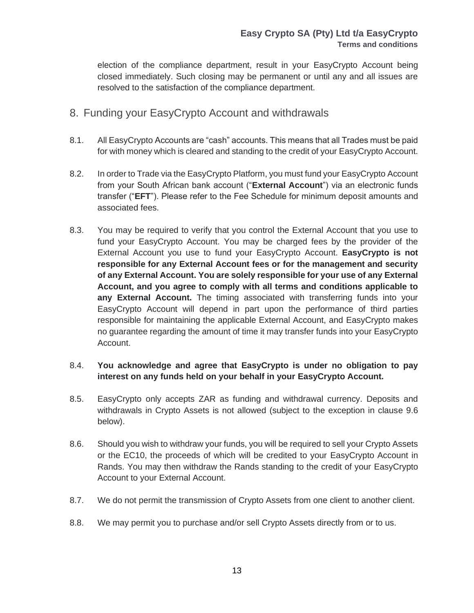election of the compliance department, result in your EasyCrypto Account being closed immediately. Such closing may be permanent or until any and all issues are resolved to the satisfaction of the compliance department.

- <span id="page-12-0"></span>8. Funding your EasyCrypto Account and withdrawals
- 8.1. All EasyCrypto Accounts are "cash" accounts. This means that all Trades must be paid for with money which is cleared and standing to the credit of your EasyCrypto Account.
- 8.2. In order to Trade via the EasyCrypto Platform, you must fund your EasyCrypto Account from your South African bank account ("**External Account**") via an electronic funds transfer ("**EFT**"). Please refer to the Fee Schedule for minimum deposit amounts and associated fees.
- 8.3. You may be required to verify that you control the External Account that you use to fund your EasyCrypto Account. You may be charged fees by the provider of the External Account you use to fund your EasyCrypto Account. **EasyCrypto is not responsible for any External Account fees or for the management and security of any External Account. You are solely responsible for your use of any External Account, and you agree to comply with all terms and conditions applicable to any External Account.** The timing associated with transferring funds into your EasyCrypto Account will depend in part upon the performance of third parties responsible for maintaining the applicable External Account, and EasyCrypto makes no guarantee regarding the amount of time it may transfer funds into your EasyCrypto Account.

#### 8.4. **You acknowledge and agree that EasyCrypto is under no obligation to pay interest on any funds held on your behalf in your EasyCrypto Account.**

- 8.5. EasyCrypto only accepts ZAR as funding and withdrawal currency. Deposits and withdrawals in Crypto Assets is not allowed (subject to the exception in clause 9.6 below).
- 8.6. Should you wish to withdraw your funds, you will be required to sell your Crypto Assets or the EC10, the proceeds of which will be credited to your EasyCrypto Account in Rands. You may then withdraw the Rands standing to the credit of your EasyCrypto Account to your External Account.
- 8.7. We do not permit the transmission of Crypto Assets from one client to another client.
- 8.8. We may permit you to purchase and/or sell Crypto Assets directly from or to us.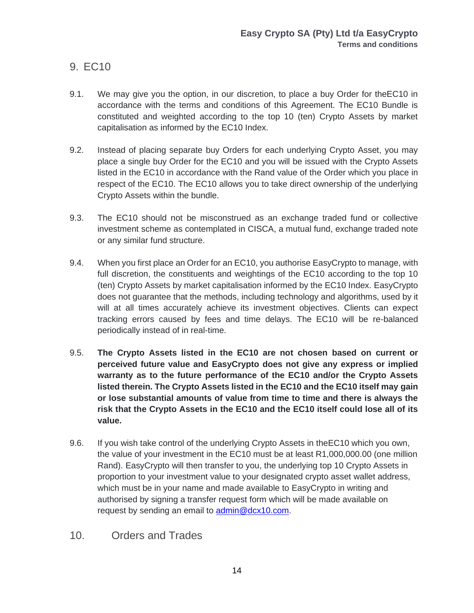### <span id="page-13-0"></span>9. EC10

- 9.1. We may give you the option, in our discretion, to place a buy Order for theEC10 in accordance with the terms and conditions of this Agreement. The EC10 Bundle is constituted and weighted according to the top 10 (ten) Crypto Assets by market capitalisation as informed by the EC10 Index.
- 9.2. Instead of placing separate buy Orders for each underlying Crypto Asset, you may place a single buy Order for the EC10 and you will be issued with the Crypto Assets listed in the EC10 in accordance with the Rand value of the Order which you place in respect of the EC10. The EC10 allows you to take direct ownership of the underlying Crypto Assets within the bundle.
- 9.3. The EC10 should not be misconstrued as an exchange traded fund or collective investment scheme as contemplated in CISCA, a mutual fund, exchange traded note or any similar fund structure.
- 9.4. When you first place an Order for an EC10, you authorise EasyCrypto to manage, with full discretion, the constituents and weightings of the EC10 according to the top 10 (ten) Crypto Assets by market capitalisation informed by the EC10 Index. EasyCrypto does not guarantee that the methods, including technology and algorithms, used by it will at all times accurately achieve its investment objectives. Clients can expect tracking errors caused by fees and time delays. The EC10 will be re-balanced periodically instead of in real-time.
- 9.5. **The Crypto Assets listed in the EC10 are not chosen based on current or perceived future value and EasyCrypto does not give any express or implied warranty as to the future performance of the EC10 and/or the Crypto Assets listed therein. The Crypto Assets listed in the EC10 and the EC10 itself may gain or lose substantial amounts of value from time to time and there is always the risk that the Crypto Assets in the EC10 and the EC10 itself could lose all of its value.**
- 9.6. If you wish take control of the underlying Crypto Assets in theEC10 which you own, the value of your investment in the EC10 must be at least R1,000,000.00 (one million Rand). EasyCrypto will then transfer to you, the underlying top 10 Crypto Assets in proportion to your investment value to your designated crypto asset wallet address, which must be in your name and made available to EasyCrypto in writing and authorised by signing a transfer request form which will be made available on request by sending an email to [admin@dcx10.com.](mailto:admin@dcx10.com)
- <span id="page-13-1"></span>10. Orders and Trades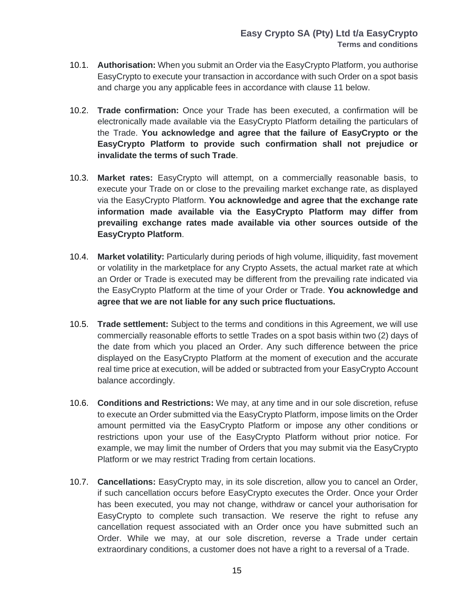- 10.1. **Authorisation:** When you submit an Order via the EasyCrypto Platform, you authorise EasyCrypto to execute your transaction in accordance with such Order on a spot basis and charge you any applicable fees in accordance with clause 11 below.
- 10.2. **Trade confirmation:** Once your Trade has been executed, a confirmation will be electronically made available via the EasyCrypto Platform detailing the particulars of the Trade. **You acknowledge and agree that the failure of EasyCrypto or the EasyCrypto Platform to provide such confirmation shall not prejudice or invalidate the terms of such Trade**.
- 10.3. **Market rates:** EasyCrypto will attempt, on a commercially reasonable basis, to execute your Trade on or close to the prevailing market exchange rate, as displayed via the EasyCrypto Platform. **You acknowledge and agree that the exchange rate information made available via the EasyCrypto Platform may differ from prevailing exchange rates made available via other sources outside of the EasyCrypto Platform**.
- 10.4. **Market volatility:** Particularly during periods of high volume, illiquidity, fast movement or volatility in the marketplace for any Crypto Assets, the actual market rate at which an Order or Trade is executed may be different from the prevailing rate indicated via the EasyCrypto Platform at the time of your Order or Trade. **You acknowledge and agree that we are not liable for any such price fluctuations.**
- 10.5. **Trade settlement:** Subject to the terms and conditions in this Agreement, we will use commercially reasonable efforts to settle Trades on a spot basis within two (2) days of the date from which you placed an Order. Any such difference between the price displayed on the EasyCrypto Platform at the moment of execution and the accurate real time price at execution, will be added or subtracted from your EasyCrypto Account balance accordingly.
- 10.6. **Conditions and Restrictions:** We may, at any time and in our sole discretion, refuse to execute an Order submitted via the EasyCrypto Platform, impose limits on the Order amount permitted via the EasyCrypto Platform or impose any other conditions or restrictions upon your use of the EasyCrypto Platform without prior notice. For example, we may limit the number of Orders that you may submit via the EasyCrypto Platform or we may restrict Trading from certain locations.
- 10.7. **Cancellations:** EasyCrypto may, in its sole discretion, allow you to cancel an Order, if such cancellation occurs before EasyCrypto executes the Order. Once your Order has been executed, you may not change, withdraw or cancel your authorisation for EasyCrypto to complete such transaction. We reserve the right to refuse any cancellation request associated with an Order once you have submitted such an Order. While we may, at our sole discretion, reverse a Trade under certain extraordinary conditions, a customer does not have a right to a reversal of a Trade.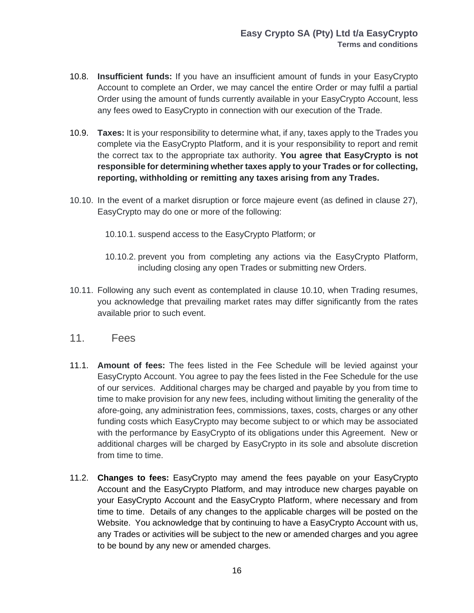- 10.8. **Insufficient funds:** If you have an insufficient amount of funds in your EasyCrypto Account to complete an Order, we may cancel the entire Order or may fulfil a partial Order using the amount of funds currently available in your EasyCrypto Account, less any fees owed to EasyCrypto in connection with our execution of the Trade.
- 10.9. **Taxes:** It is your responsibility to determine what, if any, taxes apply to the Trades you complete via the EasyCrypto Platform, and it is your responsibility to report and remit the correct tax to the appropriate tax authority. **You agree that EasyCrypto is not responsible for determining whether taxes apply to your Trades or for collecting, reporting, withholding or remitting any taxes arising from any Trades.**
- 10.10. In the event of a market disruption or force majeure event (as defined in clause 27), EasyCrypto may do one or more of the following:
	- 10.10.1. suspend access to the EasyCrypto Platform; or
	- 10.10.2. prevent you from completing any actions via the EasyCrypto Platform, including closing any open Trades or submitting new Orders.
- 10.11. Following any such event as contemplated in clause 10.10, when Trading resumes, you acknowledge that prevailing market rates may differ significantly from the rates available prior to such event.
- <span id="page-15-0"></span>11. Fees
- 11.1. **Amount of fees:** The fees listed in the Fee Schedule will be levied against your EasyCrypto Account. You agree to pay the fees listed in the Fee Schedule for the use of our services. Additional charges may be charged and payable by you from time to time to make provision for any new fees, including without limiting the generality of the afore-going, any administration fees, commissions, taxes, costs, charges or any other funding costs which EasyCrypto may become subject to or which may be associated with the performance by EasyCrypto of its obligations under this Agreement. New or additional charges will be charged by EasyCrypto in its sole and absolute discretion from time to time.
- 11.2. **Changes to fees:** EasyCrypto may amend the fees payable on your EasyCrypto Account and the EasyCrypto Platform, and may introduce new charges payable on your EasyCrypto Account and the EasyCrypto Platform, where necessary and from time to time. Details of any changes to the applicable charges will be posted on the Website. You acknowledge that by continuing to have a EasyCrypto Account with us, any Trades or activities will be subject to the new or amended charges and you agree to be bound by any new or amended charges.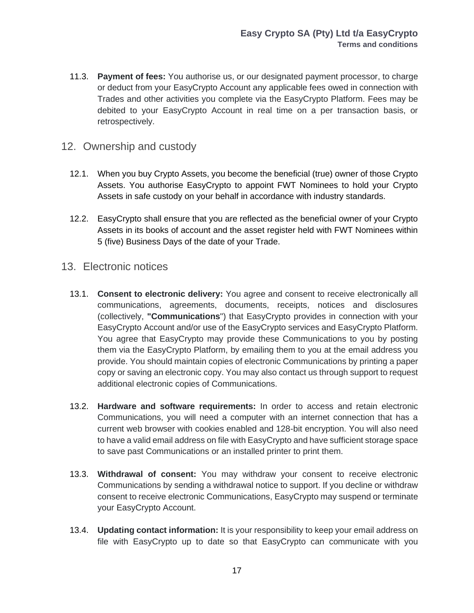- 11.3. **Payment of fees:** You authorise us, or our designated payment processor, to charge or deduct from your EasyCrypto Account any applicable fees owed in connection with Trades and other activities you complete via the EasyCrypto Platform. Fees may be debited to your EasyCrypto Account in real time on a per transaction basis, or retrospectively.
- <span id="page-16-0"></span>12. Ownership and custody
	- 12.1. When you buy Crypto Assets, you become the beneficial (true) owner of those Crypto Assets. You authorise EasyCrypto to appoint FWT Nominees to hold your Crypto Assets in safe custody on your behalf in accordance with industry standards.
	- 12.2. EasyCrypto shall ensure that you are reflected as the beneficial owner of your Crypto Assets in its books of account and the asset register held with FWT Nominees within 5 (five) Business Days of the date of your Trade.
- <span id="page-16-1"></span>13. Electronic notices
	- 13.1. **Consent to electronic delivery:** You agree and consent to receive electronically all communications, agreements, documents, receipts, notices and disclosures (collectively, **"Communications**") that EasyCrypto provides in connection with your EasyCrypto Account and/or use of the EasyCrypto services and EasyCrypto Platform. You agree that EasyCrypto may provide these Communications to you by posting them via the EasyCrypto Platform, by emailing them to you at the email address you provide. You should maintain copies of electronic Communications by printing a paper copy or saving an electronic copy. You may also contact us through support to request additional electronic copies of Communications.
	- 13.2. **Hardware and software requirements:** In order to access and retain electronic Communications, you will need a computer with an internet connection that has a current web browser with cookies enabled and 128-bit encryption. You will also need to have a valid email address on file with EasyCrypto and have sufficient storage space to save past Communications or an installed printer to print them.
	- 13.3. **Withdrawal of consent:** You may withdraw your consent to receive electronic Communications by sending a withdrawal notice to support. If you decline or withdraw consent to receive electronic Communications, EasyCrypto may suspend or terminate your EasyCrypto Account.
	- 13.4. **Updating contact information:** It is your responsibility to keep your email address on file with EasyCrypto up to date so that EasyCrypto can communicate with you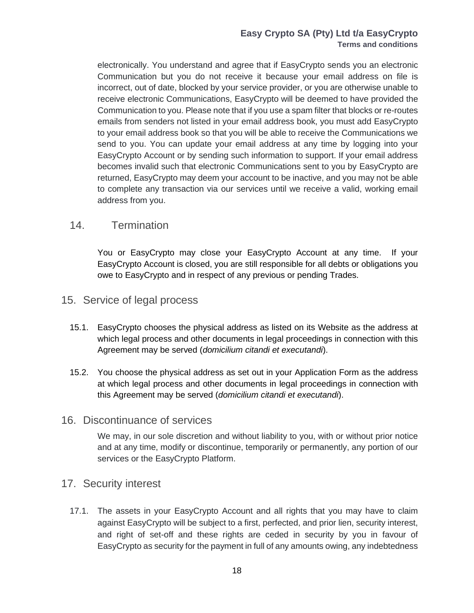#### **Easy Crypto SA (Pty) Ltd t/a EasyCrypto Terms and conditions**

electronically. You understand and agree that if EasyCrypto sends you an electronic Communication but you do not receive it because your email address on file is incorrect, out of date, blocked by your service provider, or you are otherwise unable to receive electronic Communications, EasyCrypto will be deemed to have provided the Communication to you. Please note that if you use a spam filter that blocks or re-routes emails from senders not listed in your email address book, you must add EasyCrypto to your email address book so that you will be able to receive the Communications we send to you. You can update your email address at any time by logging into your EasyCrypto Account or by sending such information to support. If your email address becomes invalid such that electronic Communications sent to you by EasyCrypto are returned, EasyCrypto may deem your account to be inactive, and you may not be able to complete any transaction via our services until we receive a valid, working email address from you.

#### <span id="page-17-0"></span>14. Termination

You or EasyCrypto may close your EasyCrypto Account at any time. If your EasyCrypto Account is closed, you are still responsible for all debts or obligations you owe to EasyCrypto and in respect of any previous or pending Trades.

#### <span id="page-17-1"></span>15. Service of legal process

- 15.1. EasyCrypto chooses the physical address as listed on its Website as the address at which legal process and other documents in legal proceedings in connection with this Agreement may be served (*domicilium citandi et executandi*).
- 15.2. You choose the physical address as set out in your Application Form as the address at which legal process and other documents in legal proceedings in connection with this Agreement may be served (*domicilium citandi et executandi*).

#### <span id="page-17-2"></span>16. Discontinuance of services

We may, in our sole discretion and without liability to you, with or without prior notice and at any time, modify or discontinue, temporarily or permanently, any portion of our services or the EasyCrypto Platform.

#### <span id="page-17-3"></span>17. Security interest

17.1. The assets in your EasyCrypto Account and all rights that you may have to claim against EasyCrypto will be subject to a first, perfected, and prior lien, security interest, and right of set-off and these rights are ceded in security by you in favour of EasyCrypto as security for the payment in full of any amounts owing, any indebtedness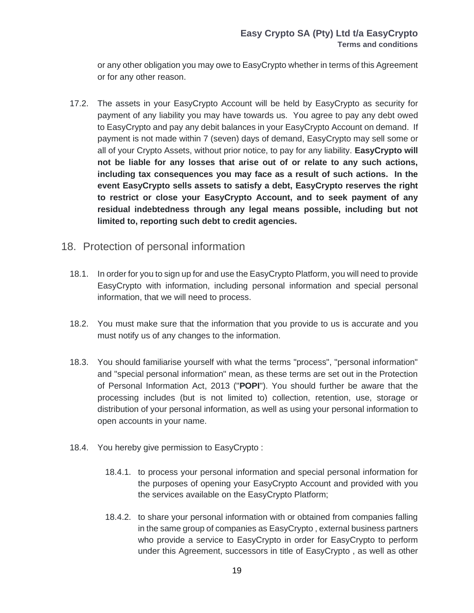or any other obligation you may owe to EasyCrypto whether in terms of this Agreement or for any other reason.

17.2. The assets in your EasyCrypto Account will be held by EasyCrypto as security for payment of any liability you may have towards us. You agree to pay any debt owed to EasyCrypto and pay any debit balances in your EasyCrypto Account on demand. If payment is not made within 7 (seven) days of demand, EasyCrypto may sell some or all of your Crypto Assets, without prior notice, to pay for any liability. **EasyCrypto will not be liable for any losses that arise out of or relate to any such actions, including tax consequences you may face as a result of such actions. In the event EasyCrypto sells assets to satisfy a debt, EasyCrypto reserves the right to restrict or close your EasyCrypto Account, and to seek payment of any residual indebtedness through any legal means possible, including but not limited to, reporting such debt to credit agencies.**

#### <span id="page-18-0"></span>18. Protection of personal information

- 18.1. In order for you to sign up for and use the EasyCrypto Platform, you will need to provide EasyCrypto with information, including personal information and special personal information, that we will need to process.
- 18.2. You must make sure that the information that you provide to us is accurate and you must notify us of any changes to the information.
- 18.3. You should familiarise yourself with what the terms "process", "personal information" and "special personal information" mean, as these terms are set out in the Protection of Personal Information Act, 2013 ("**POPI**"). You should further be aware that the processing includes (but is not limited to) collection, retention, use, storage or distribution of your personal information, as well as using your personal information to open accounts in your name.
- 18.4. You hereby give permission to EasyCrypto :
	- 18.4.1. to process your personal information and special personal information for the purposes of opening your EasyCrypto Account and provided with you the services available on the EasyCrypto Platform;
	- 18.4.2. to share your personal information with or obtained from companies falling in the same group of companies as EasyCrypto , external business partners who provide a service to EasyCrypto in order for EasyCrypto to perform under this Agreement, successors in title of EasyCrypto , as well as other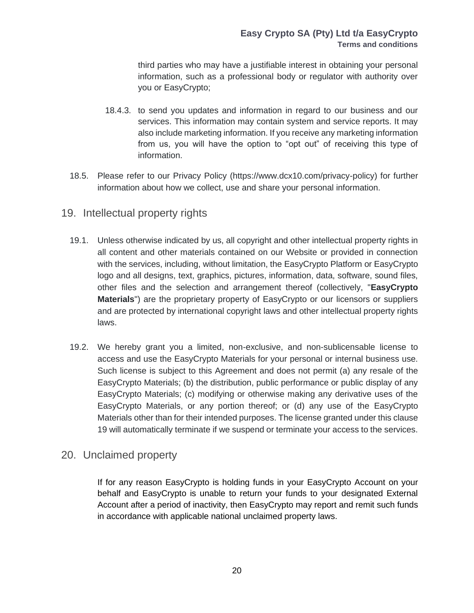third parties who may have a justifiable interest in obtaining your personal information, such as a professional body or regulator with authority over you or EasyCrypto;

- 18.4.3. to send you updates and information in regard to our business and our services. This information may contain system and service reports. It may also include marketing information. If you receive any marketing information from us, you will have the option to "opt out" of receiving this type of information.
- 18.5. Please refer to our Privacy Policy [\(https://www.dcx10.com/privacy-policy\)](https://www.dcx10.com/privacy-policy) for further information about how we collect, use and share your personal information.
- <span id="page-19-0"></span>19. Intellectual property rights
	- 19.1. Unless otherwise indicated by us, all copyright and other intellectual property rights in all content and other materials contained on our Website or provided in connection with the services, including, without limitation, the EasyCrypto Platform or EasyCrypto logo and all designs, text, graphics, pictures, information, data, software, sound files, other files and the selection and arrangement thereof (collectively, "**EasyCrypto Materials**") are the proprietary property of EasyCrypto or our licensors or suppliers and are protected by international copyright laws and other intellectual property rights laws.
	- 19.2. We hereby grant you a limited, non-exclusive, and non-sublicensable license to access and use the EasyCrypto Materials for your personal or internal business use. Such license is subject to this Agreement and does not permit (a) any resale of the EasyCrypto Materials; (b) the distribution, public performance or public display of any EasyCrypto Materials; (c) modifying or otherwise making any derivative uses of the EasyCrypto Materials, or any portion thereof; or (d) any use of the EasyCrypto Materials other than for their intended purposes. The license granted under this clause 19 will automatically terminate if we suspend or terminate your access to the services.

#### <span id="page-19-1"></span>20. Unclaimed property

If for any reason EasyCrypto is holding funds in your EasyCrypto Account on your behalf and EasyCrypto is unable to return your funds to your designated External Account after a period of inactivity, then EasyCrypto may report and remit such funds in accordance with applicable national unclaimed property laws.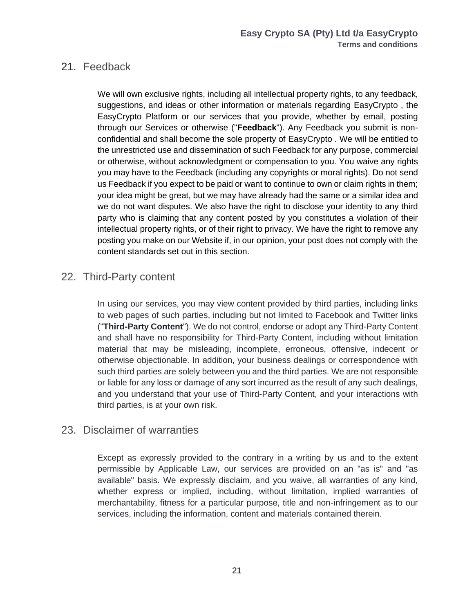#### <span id="page-20-0"></span>21. Feedback

We will own exclusive rights, including all intellectual property rights, to any feedback, suggestions, and ideas or other information or materials regarding EasyCrypto , the EasyCrypto Platform or our services that you provide, whether by email, posting through our Services or otherwise ("**Feedback**"). Any Feedback you submit is nonconfidential and shall become the sole property of EasyCrypto . We will be entitled to the unrestricted use and dissemination of such Feedback for any purpose, commercial or otherwise, without acknowledgment or compensation to you. You waive any rights you may have to the Feedback (including any copyrights or moral rights). Do not send us Feedback if you expect to be paid or want to continue to own or claim rights in them; your idea might be great, but we may have already had the same or a similar idea and we do not want disputes. We also have the right to disclose your identity to any third party who is claiming that any content posted by you constitutes a violation of their intellectual property rights, or of their right to privacy. We have the right to remove any posting you make on our Website if, in our opinion, your post does not comply with the content standards set out in this section.

#### <span id="page-20-1"></span>22. Third-Party content

In using our services, you may view content provided by third parties, including links to web pages of such parties, including but not limited to Facebook and Twitter links ("**Third-Party Content**"). We do not control, endorse or adopt any Third-Party Content and shall have no responsibility for Third-Party Content, including without limitation material that may be misleading, incomplete, erroneous, offensive, indecent or otherwise objectionable. In addition, your business dealings or correspondence with such third parties are solely between you and the third parties. We are not responsible or liable for any loss or damage of any sort incurred as the result of any such dealings, and you understand that your use of Third-Party Content, and your interactions with third parties, is at your own risk.

#### <span id="page-20-2"></span>23. Disclaimer of warranties

Except as expressly provided to the contrary in a writing by us and to the extent permissible by Applicable Law, our services are provided on an "as is" and "as available" basis. We expressly disclaim, and you waive, all warranties of any kind, whether express or implied, including, without limitation, implied warranties of merchantability, fitness for a particular purpose, title and non-infringement as to our services, including the information, content and materials contained therein.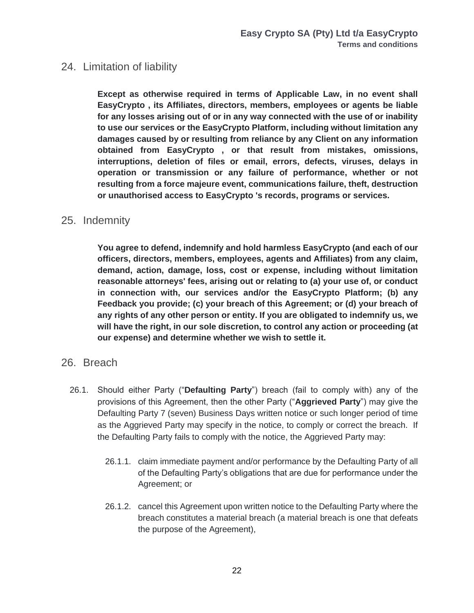#### <span id="page-21-0"></span>24. Limitation of liability

**Except as otherwise required in terms of Applicable Law, in no event shall EasyCrypto , its Affiliates, directors, members, employees or agents be liable for any losses arising out of or in any way connected with the use of or inability to use our services or the EasyCrypto Platform, including without limitation any damages caused by or resulting from reliance by any Client on any information obtained from EasyCrypto , or that result from mistakes, omissions, interruptions, deletion of files or email, errors, defects, viruses, delays in operation or transmission or any failure of performance, whether or not resulting from a force majeure event, communications failure, theft, destruction or unauthorised access to EasyCrypto 's records, programs or services.** 

#### <span id="page-21-1"></span>25. Indemnity

**You agree to defend, indemnify and hold harmless EasyCrypto (and each of our officers, directors, members, employees, agents and Affiliates) from any claim, demand, action, damage, loss, cost or expense, including without limitation reasonable attorneys' fees, arising out or relating to (a) your use of, or conduct in connection with, our services and/or the EasyCrypto Platform; (b) any Feedback you provide; (c) your breach of this Agreement; or (d) your breach of any rights of any other person or entity. If you are obligated to indemnify us, we will have the right, in our sole discretion, to control any action or proceeding (at our expense) and determine whether we wish to settle it.**

#### <span id="page-21-2"></span>26. Breach

- 26.1. Should either Party ("**Defaulting Party**") breach (fail to comply with) any of the provisions of this Agreement, then the other Party ("**Aggrieved Party**") may give the Defaulting Party 7 (seven) Business Days written notice or such longer period of time as the Aggrieved Party may specify in the notice, to comply or correct the breach. If the Defaulting Party fails to comply with the notice, the Aggrieved Party may:
	- 26.1.1. claim immediate payment and/or performance by the Defaulting Party of all of the Defaulting Party's obligations that are due for performance under the Agreement; or
	- 26.1.2. cancel this Agreement upon written notice to the Defaulting Party where the breach constitutes a material breach (a material breach is one that defeats the purpose of the Agreement),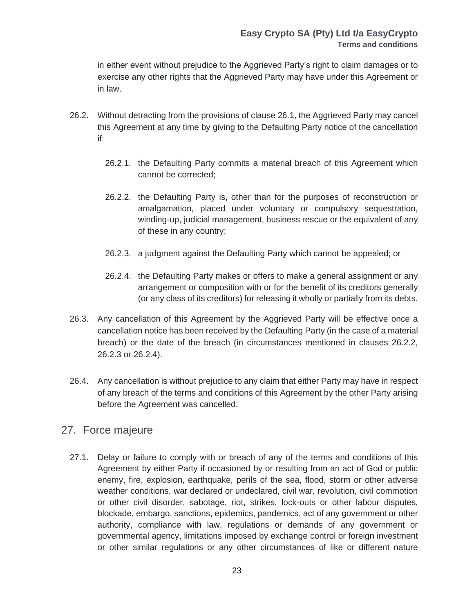in either event without prejudice to the Aggrieved Party's right to claim damages or to exercise any other rights that the Aggrieved Party may have under this Agreement or in law.

- 26.2. Without detracting from the provisions of clause 26.1, the Aggrieved Party may cancel this Agreement at any time by giving to the Defaulting Party notice of the cancellation if:
	- 26.2.1. the Defaulting Party commits a material breach of this Agreement which cannot be corrected;
	- 26.2.2. the Defaulting Party is, other than for the purposes of reconstruction or amalgamation, placed under voluntary or compulsory sequestration, winding-up, judicial management, business rescue or the equivalent of any of these in any country;
	- 26.2.3. a judgment against the Defaulting Party which cannot be appealed; or
	- 26.2.4. the Defaulting Party makes or offers to make a general assignment or any arrangement or composition with or for the benefit of its creditors generally (or any class of its creditors) for releasing it wholly or partially from its debts.
- 26.3. Any cancellation of this Agreement by the Aggrieved Party will be effective once a cancellation notice has been received by the Defaulting Party (in the case of a material breach) or the date of the breach (in circumstances mentioned in clauses 26.2.2, 26.2.3 or 26.2.4).
- 26.4. Any cancellation is without prejudice to any claim that either Party may have in respect of any breach of the terms and conditions of this Agreement by the other Party arising before the Agreement was cancelled.

#### <span id="page-22-0"></span>27. Force majeure

27.1. Delay or failure to comply with or breach of any of the terms and conditions of this Agreement by either Party if occasioned by or resulting from an act of God or public enemy, fire, explosion, earthquake, perils of the sea, flood, storm or other adverse weather conditions, war declared or undeclared, civil war, revolution, civil commotion or other civil disorder, sabotage, riot, strikes, lock-outs or other labour disputes, blockade, embargo, sanctions, epidemics, pandemics, act of any government or other authority, compliance with law, regulations or demands of any government or governmental agency, limitations imposed by exchange control or foreign investment or other similar regulations or any other circumstances of like or different nature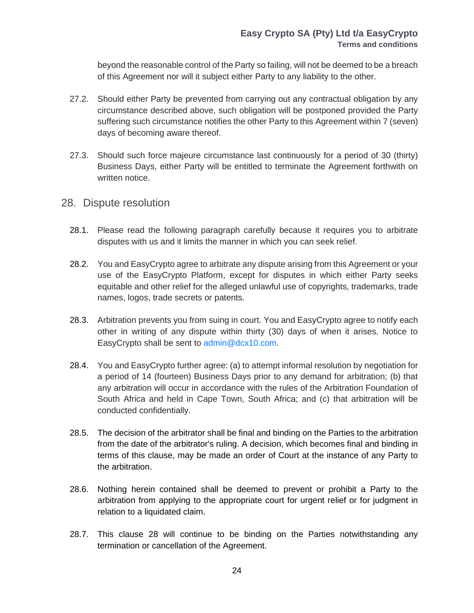beyond the reasonable control of the Party so failing, will not be deemed to be a breach of this Agreement nor will it subject either Party to any liability to the other.

- 27.2. Should either Party be prevented from carrying out any contractual obligation by any circumstance described above, such obligation will be postponed provided the Party suffering such circumstance notifies the other Party to this Agreement within 7 (seven) days of becoming aware thereof.
- 27.3. Should such force majeure circumstance last continuously for a period of 30 (thirty) Business Days, either Party will be entitled to terminate the Agreement forthwith on written notice.
- <span id="page-23-0"></span>28. Dispute resolution
	- 28.1. Please read the following paragraph carefully because it requires you to arbitrate disputes with us and it limits the manner in which you can seek relief.
	- 28.2. You and EasyCrypto agree to arbitrate any dispute arising from this Agreement or your use of the EasyCrypto Platform, except for disputes in which either Party seeks equitable and other relief for the alleged unlawful use of copyrights, trademarks, trade names, logos, trade secrets or patents.
	- 28.3. Arbitration prevents you from suing in court. You and EasyCrypto agree to notify each other in writing of any dispute within thirty (30) days of when it arises. Notice to EasyCrypto shall be sent to [admin@dcx10.com.](https://www.dcx10.com/admin@dcx10.com)
	- 28.4. You and EasyCrypto further agree: (a) to attempt informal resolution by negotiation for a period of 14 (fourteen) Business Days prior to any demand for arbitration; (b) that any arbitration will occur in accordance with the rules of the Arbitration Foundation of South Africa and held in Cape Town, South Africa; and (c) that arbitration will be conducted confidentially.
	- 28.5. The decision of the arbitrator shall be final and binding on the Parties to the arbitration from the date of the arbitrator's ruling. A decision, which becomes final and binding in terms of this clause, may be made an order of Court at the instance of any Party to the arbitration.
	- 28.6. Nothing herein contained shall be deemed to prevent or prohibit a Party to the arbitration from applying to the appropriate court for urgent relief or for judgment in relation to a liquidated claim.
	- 28.7. This clause 28 will continue to be binding on the Parties notwithstanding any termination or cancellation of the Agreement.